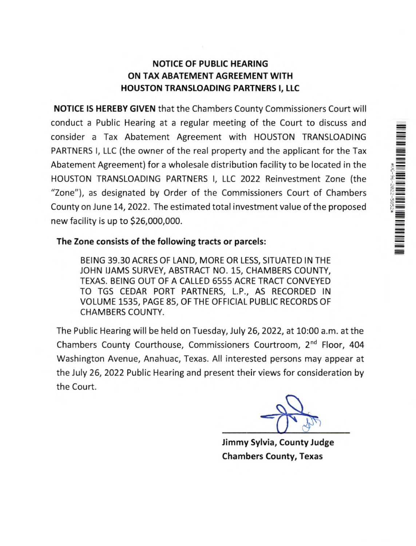## NOTICE OF PUBLIC HEARING ON TAX ABATEMENT AGREEMENT WITH HOUSTON TRANSLOADING PARTNERS I, LLC

NOTICE IS HEREBY GIVEN that the Chambers County Commissioners Court will conduct a Public Hearing at a regular meeting of the Court to discuss and consider a Tax Abatement Agreement with HOUSTON TRANSLOADING PARTNERS I, LLC (the owner of the real property and the applicant for the Tax Abatement Agreement) for a wholesale distribution facility to be located in the HOUSTON TRANSLOADING PARTNERS I, LLC 2022 Reinvestment Zone (the "Zone"), as designated by Order of the Commissioners Court of Chambers County on June 14, 2022. The estimated total investment value of the proposed new facility is up to \$26,000,000.

## The Zone consists of the following tracts or parcels:

BEING 39.30 ACRES OF LAND, MORE OR LESS, SITUATED IN THE JOHN (JAMS SURVEY, ABSTRACT NO. 15, CHAMBERS COUNTY, TEXAS. BEING OUT OF A CALLED 6555 ACRE TRACT CONVEYED TO TGS CEDAR PORT PARTNERS, L.P., AS RECORDED IN VOLUME 1535, PAGE 85, OF THE OFFICIAL PUBLIC RECORDS OF CHAMBERS COUNTY.

The Public Hearing will be held on Tuesday, July 26, 2022, at 10:00 a.m. at the Chambers County Courthouse, Commissioners Courtroom, 2nd Floor, 404 Washington Avenue, Anahuac, Texas. All interested persons may appear at the July 26, 2022 Public Hearing and present their views for consideration by the Court.

▆▆▆▅▅▖▅▖▅▖▅▖▅▖▅▖▅▖▅▖

Jimmy Sylvia, County Judge Chambers County, Texas